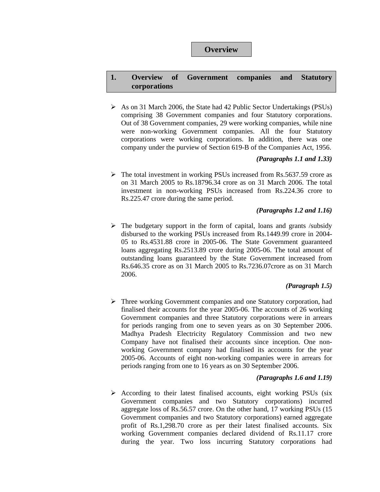# **Overview**

# **1. Overview of Government companies and Statutory corporations**

¾ As on 31 March 2006, the State had 42 Public Sector Undertakings (PSUs) comprising 38 Government companies and four Statutory corporations. Out of 38 Government companies, 29 were working companies, while nine were non-working Government companies. All the four Statutory corporations were working corporations. In addition, there was one company under the purview of Section 619-B of the Companies Act, 1956.

## *(Paragraphs 1.1 and 1.33)*

 $\triangleright$  The total investment in working PSUs increased from Rs.5637.59 crore as on 31 March 2005 to Rs.18796.34 crore as on 31 March 2006. The total investment in non-working PSUs increased from Rs.224.36 crore to Rs.225.47 crore during the same period.

## *(Paragraphs 1.2 and 1.16)*

 $\triangleright$  The budgetary support in the form of capital, loans and grants /subsidy disbursed to the working PSUs increased from Rs.1449.99 crore in 2004- 05 to Rs.4531.88 crore in 2005-06. The State Government guaranteed loans aggregating Rs.2513.89 crore during 2005-06. The total amount of outstanding loans guaranteed by the State Government increased from Rs.646.35 crore as on 31 March 2005 to Rs.7236.07crore as on 31 March 2006.

# *(Paragraph 1.5)*

 $\triangleright$  Three working Government companies and one Statutory corporation, had finalised their accounts for the year 2005-06. The accounts of 26 working Government companies and three Statutory corporations were in arrears for periods ranging from one to seven years as on 30 September 2006. Madhya Pradesh Electricity Regulatory Commission and two new Company have not finalised their accounts since inception. One nonworking Government company had finalised its accounts for the year 2005-06. Accounts of eight non-working companies were in arrears for periods ranging from one to 16 years as on 30 September 2006.

# *(Paragraphs 1.6 and 1.19)*

 $\triangleright$  According to their latest finalised accounts, eight working PSUs (six Government companies and two Statutory corporations) incurred aggregate loss of Rs.56.57 crore. On the other hand, 17 working PSUs (15 Government companies and two Statutory corporations) earned aggregate profit of Rs.1,298.70 crore as per their latest finalised accounts. Six working Government companies declared dividend of Rs.11.17 crore during the year. Two loss incurring Statutory corporations had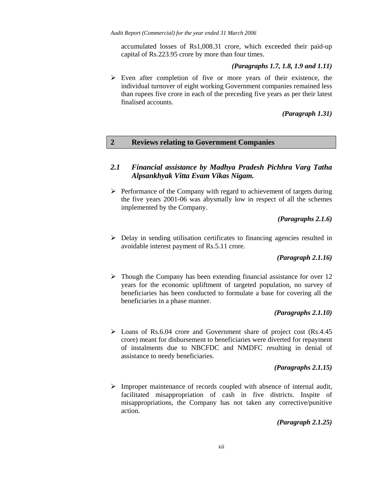accumulated losses of Rs1,008.31 crore, which exceeded their paid-up capital of Rs.223.95 crore by more than four times.

### *(Paragraphs 1.7, 1.8, 1.9 and 1.11)*

 $\triangleright$  Even after completion of five or more years of their existence, the individual turnover of eight working Government companies remained less than rupees five crore in each of the preceding five years as per their latest finalised accounts.

## *(Paragraph 1.31)*

# **2 Reviews relating to Government Companies**

# *2.1 Financial assistance by Madhya Pradesh Pichhra Varg Tatha Alpsankhyak Vitta Evam Vikas Nigam.*

 $\triangleright$  Performance of the Company with regard to achievement of targets during the five years 2001-06 was abysmally low in respect of all the schemes implemented by the Company.

## *(Paragraphs 2.1.6)*

 $\triangleright$  Delay in sending utilisation certificates to financing agencies resulted in avoidable interest payment of Rs.5.11 crore.

## *(Paragraph 2.1.16)*

 $\triangleright$  Though the Company has been extending financial assistance for over 12 years for the economic upliftment of targeted population, no survey of beneficiaries has been conducted to formulate a base for covering all the beneficiaries in a phase manner.

## *(Paragraphs 2.1.10)*

 $\triangleright$  Loans of Rs.6.04 crore and Government share of project cost (Rs.4.45) crore) meant for disbursement to beneficiaries were diverted for repayment of instalments due to NBCFDC and NMDFC resulting in denial of assistance to needy beneficiaries.

## *(Paragraphs 2.1.15)*

 $\triangleright$  Improper maintenance of records coupled with absence of internal audit, facilitated misappropriation of cash in five districts. Inspite of misappropriations, the Company has not taken any corrective/punitive action.

*(Paragraph 2.1.25)*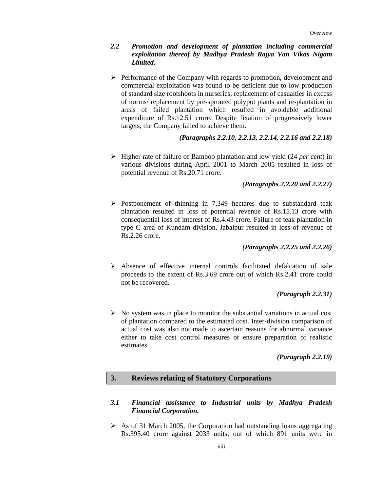# *2.2 Promotion and development of plantation including commercial exploitation thereof by Madhya Pradesh Rajya Van Vikas Nigam Limited.*

¾ Performance of the Company with regards to promotion, development and commercial exploitation was found to be deficient due to low production of standard size rootshoots in nurseries, replacement of casualties in excess of norms/ replacement by pre-sprouted polypot plants and re-plantation in areas of failed plantation which resulted in avoidable additional expenditure of Rs.12.51 crore. Despite fixation of progressively lower targets, the Company failed to achieve them.

## *(Paragraphs 2.2.10, 2.2.13, 2.2.14, 2.2.16 and 2.2.18)*

¾ Higher rate of failure of Bamboo plantation and low yield (24 *per cent*) in various divisions during April 2001 to March 2005 resulted in loss of potential revenue of Rs.20.71 crore.

# *(Paragraphs 2.2.20 and 2.2.27)*

 $\triangleright$  Postponement of thinning in 7,349 hectares due to substandard teak plantation resulted in loss of potential revenue of Rs.15.13 crore with consequential loss of interest of Rs.4.43 crore. Failure of teak plantation in type C area of Kundam division, Jabalpur resulted in loss of revenue of Rs.2.26 crore.

## *(Paragraphs 2.2.25 and 2.2.26)*

¾ Absence of effective internal controls facilitated defalcation of sale proceeds to the extent of Rs.3.69 crore out of which Rs.2.41 crore could not be recovered.

## *(Paragraph 2.2.31)*

 $\triangleright$  No system was in place to monitor the substantial variations in actual cost of plantation compared to the estimated cost. Inter-division comparison of actual cost was also not made to ascertain reasons for abnormal variance either to take cost control measures or ensure preparation of realistic estimates.

*(Paragraph 2.2.19)* 

## **3. Reviews relating of Statutory Corporations**

### *3.1 Financial assistance to Industrial units by Madhya Pradesh Financial Corporation.*

 $\triangleright$  As of 31 March 2005, the Corporation had outstanding loans aggregating Rs.395.40 crore against 2033 units, out of which 891 units were in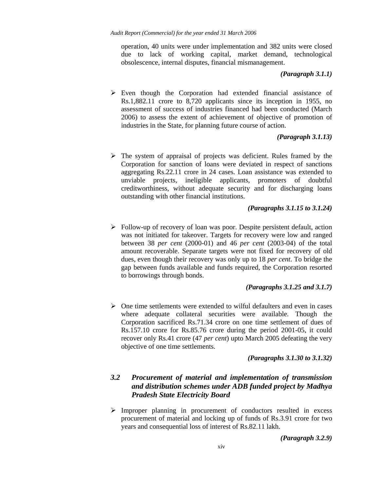operation, 40 units were under implementation and 382 units were closed due to lack of working capital, market demand, technological obsolescence, internal disputes, financial mismanagement.

#### *(Paragraph 3.1.1)*

 $\triangleright$  Even though the Corporation had extended financial assistance of Rs.1,882.11 crore to 8,720 applicants since its inception in 1955, no assessment of success of industries financed had been conducted (March 2006) to assess the extent of achievement of objective of promotion of industries in the State, for planning future course of action.

### *(Paragraph 3.1.13)*

 $\triangleright$  The system of appraisal of projects was deficient. Rules framed by the Corporation for sanction of loans were deviated in respect of sanctions aggregating Rs.22.11 crore in 24 cases. Loan assistance was extended to unviable projects, ineligible applicants, promoters of doubtful creditworthiness, without adequate security and for discharging loans outstanding with other financial institutions.

### *(Paragraphs 3.1.15 to 3.1.24)*

¾ Follow-up of recovery of loan was poor. Despite persistent default, action was not initiated for takeover. Targets for recovery were low and ranged between 38 *per cent* (2000-01) and 46 *per cent* (2003-04) of the total amount recoverable. Separate targets were not fixed for recovery of old dues, even though their recovery was only up to 18 *per cent*. To bridge the gap between funds available and funds required, the Corporation resorted to borrowings through bonds.

## *(Paragraphs 3.1.25 and 3.1.7)*

 $\triangleright$  One time settlements were extended to wilful defaulters and even in cases where adequate collateral securities were available. Though the Corporation sacrificed Rs.71.34 crore on one time settlement of dues of Rs.157.10 crore for Rs.85.76 crore during the period 2001-05, it could recover only Rs.41 crore (47 *per cent*) upto March 2005 defeating the very objective of one time settlements.

#### *(Paragraphs 3.1.30 to 3.1.32)*

# *3.2 Procurement of material and implementation of transmission and distribution schemes under ADB funded project by Madhya Pradesh State Electricity Board*

 $\triangleright$  Improper planning in procurement of conductors resulted in excess procurement of material and locking up of funds of Rs.3.91 crore for two years and consequential loss of interest of Rs.82.11 lakh.

*(Paragraph 3.2.9)*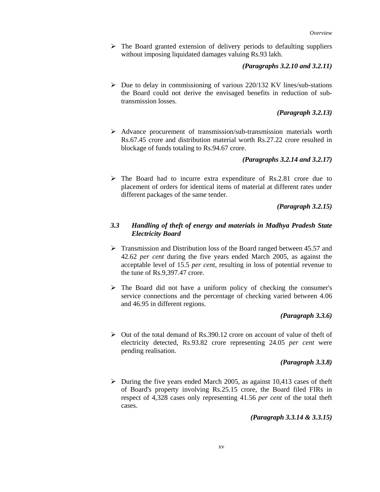$\triangleright$  The Board granted extension of delivery periods to defaulting suppliers without imposing liquidated damages valuing Rs.93 lakh.

### *(Paragraphs 3.2.10 and 3.2.11)*

 $\triangleright$  Due to delay in commissioning of various 220/132 KV lines/sub-stations the Board could not derive the envisaged benefits in reduction of subtransmission losses.

### *(Paragraph 3.2.13)*

 $\triangleright$  Advance procurement of transmission/sub-transmission materials worth Rs.67.45 crore and distribution material worth Rs.27.22 crore resulted in blockage of funds totaling to Rs.94.67 crore.

### *(Paragraphs 3.2.14 and 3.2.17)*

 $\triangleright$  The Board had to incurre extra expenditure of Rs.2.81 crore due to placement of orders for identical items of material at different rates under different packages of the same tender.

### *(Paragraph 3.2.15)*

## *3.3 Handling of theft of energy and materials in Madhya Pradesh State Electricity Board*

- $\triangleright$  Transmission and Distribution loss of the Board ranged between 45.57 and 42.62 *per cent* during the five years ended March 2005, as against the acceptable level of 15.5 *per cent*, resulting in loss of potential revenue to the tune of Rs.9,397.47 crore.
- $\triangleright$  The Board did not have a uniform policy of checking the consumer's service connections and the percentage of checking varied between 4.06 and 46.95 in different regions.

## *(Paragraph 3.3.6)*

 $\triangleright$  Out of the total demand of Rs.390.12 crore on account of value of theft of electricity detected, Rs.93.82 crore representing 24.05 *per cent* were pending realisation.

### *(Paragraph 3.3.8)*

 $\triangleright$  During the five years ended March 2005, as against 10,413 cases of the ft of Board's property involving Rs.25.15 crore, the Board filed FIRs in respect of 4,328 cases only representing 41.56 *per cent* of the total theft cases.

*(Paragraph 3.3.14 & 3.3.15)*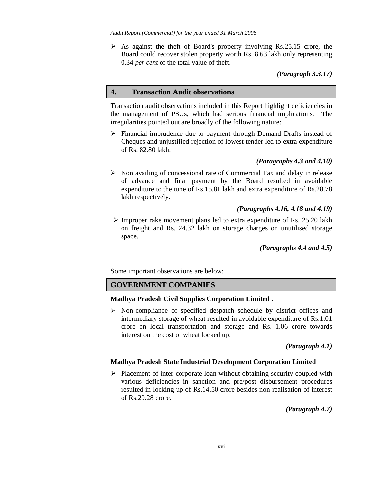$\triangleright$  As against the theft of Board's property involving Rs.25.15 crore, the Board could recover stolen property worth Rs. 8.63 lakh only representing 0.34 *per cent* of the total value of theft.

*(Paragraph 3.3.17)* 

### **4. Transaction Audit observations**

Transaction audit observations included in this Report highlight deficiencies in the management of PSUs, which had serious financial implications. The irregularities pointed out are broadly of the following nature:

 $\triangleright$  Financial imprudence due to payment through Demand Drafts instead of Cheques and unjustified rejection of lowest tender led to extra expenditure of Rs. 82.80 lakh.

## *(Paragraphs 4.3 and 4.10)*

 $\triangleright$  Non availing of concessional rate of Commercial Tax and delay in release of advance and final payment by the Board resulted in avoidable expenditure to the tune of Rs.15.81 lakh and extra expenditure of Rs.28.78 lakh respectively.

## *(Paragraphs 4.16, 4.18 and 4.19)*

 $\triangleright$  Improper rake movement plans led to extra expenditure of Rs. 25.20 lakh on freight and Rs. 24.32 lakh on storage charges on unutilised storage space.

## *(Paragraphs 4.4 and 4.5)*

Some important observations are below:

## **GOVERNMENT COMPANIES**

### **Madhya Pradesh Civil Supplies Corporation Limited .**

¾ Non-compliance of specified despatch schedule by district offices and intermediary storage of wheat resulted in avoidable expenditure of Rs.1.01 crore on local transportation and storage and Rs. 1.06 crore towards interest on the cost of wheat locked up.

## *(Paragraph 4.1)*

### **Madhya Pradesh State Industrial Development Corporation Limited**

 $\triangleright$  Placement of inter-corporate loan without obtaining security coupled with various deficiencies in sanction and pre/post disbursement procedures resulted in locking up of Rs.14.50 crore besides non-realisation of interest of Rs.20.28 crore.

*(Paragraph 4.7)*